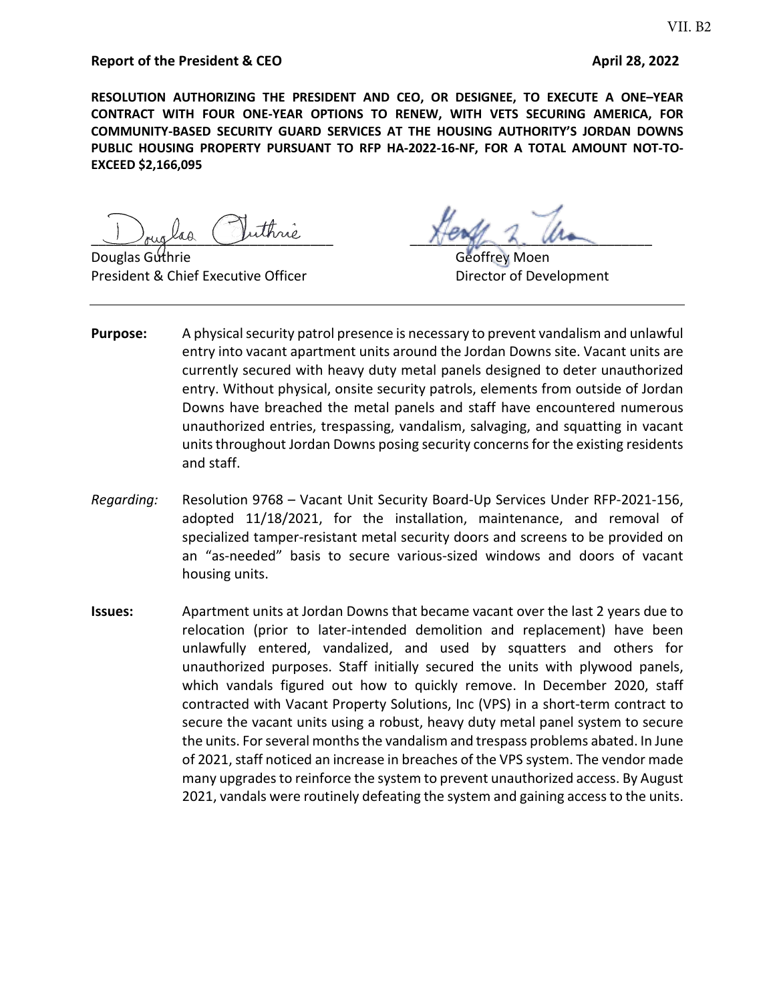#### **Report of the President & CEO April 28, 2022**

**RESOLUTION AUTHORIZING THE PRESIDENT AND CEO, OR DESIGNEE, TO EXECUTE A ONE–YEAR CONTRACT WITH FOUR ONE-YEAR OPTIONS TO RENEW, WITH VETS SECURING AMERICA, FOR COMMUNITY-BASED SECURITY GUARD SERVICES AT THE HOUSING AUTHORITY'S JORDAN DOWNS PUBLIC HOUSING PROPERTY PURSUANT TO RFP HA-2022-16-NF, FOR A TOTAL AMOUNT NOT-TO-EXCEED \$2,166,095** 

President & Chief Executive Officer **Director of Development** 

buglas ruinne pour de la monde

Geottrey Moen

- **Purpose:** A physical security patrol presence is necessary to prevent vandalism and unlawful entry into vacant apartment units around the Jordan Downs site. Vacant units are currently secured with heavy duty metal panels designed to deter unauthorized entry. Without physical, onsite security patrols, elements from outside of Jordan Downs have breached the metal panels and staff have encountered numerous unauthorized entries, trespassing, vandalism, salvaging, and squatting in vacant units throughout Jordan Downs posing security concerns for the existing residents and staff.
- *Regarding:* Resolution 9768 Vacant Unit Security Board-Up Services Under RFP-2021-156, adopted 11/18/2021, for the installation, maintenance, and removal of specialized tamper-resistant metal security doors and screens to be provided on an "as-needed" basis to secure various-sized windows and doors of vacant housing units.
- **Issues:** Apartment units at Jordan Downs that became vacant over the last 2 years due to relocation (prior to later-intended demolition and replacement) have been unlawfully entered, vandalized, and used by squatters and others for unauthorized purposes. Staff initially secured the units with plywood panels, which vandals figured out how to quickly remove. In December 2020, staff contracted with Vacant Property Solutions, Inc (VPS) in a short-term contract to secure the vacant units using a robust, heavy duty metal panel system to secure the units. For several months the vandalism and trespass problems abated. In June of 2021, staff noticed an increase in breaches of the VPS system. The vendor made many upgrades to reinforce the system to prevent unauthorized access. By August 2021, vandals were routinely defeating the system and gaining access to the units.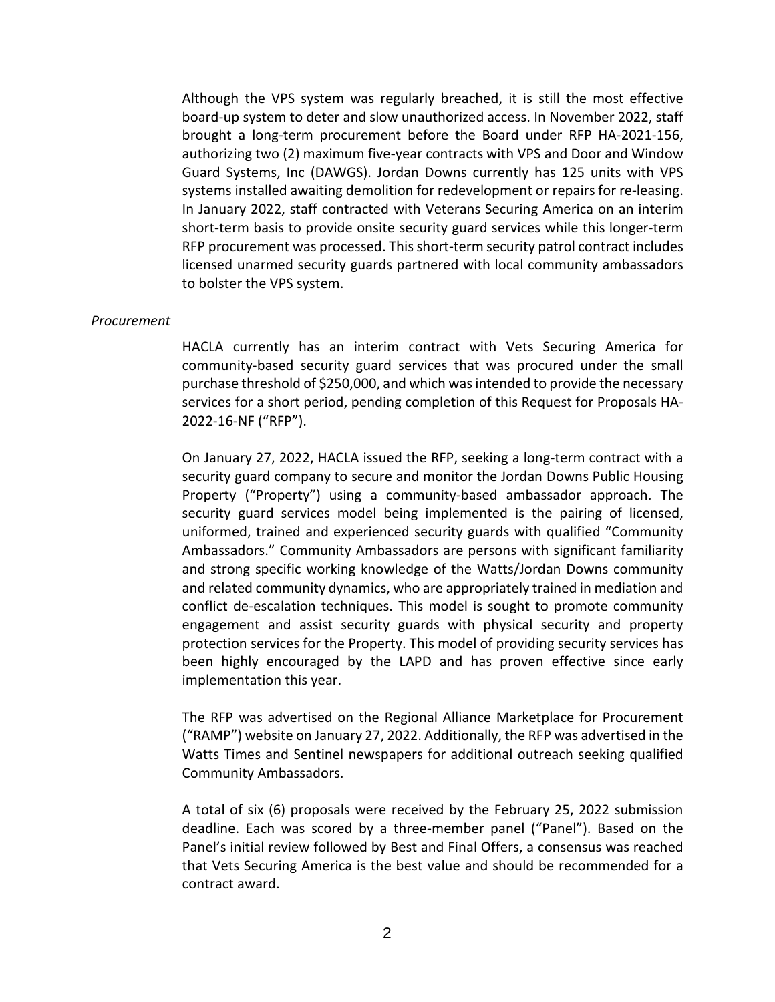Although the VPS system was regularly breached, it is still the most effective board-up system to deter and slow unauthorized access. In November 2022, staff brought a long-term procurement before the Board under RFP HA-2021-156, authorizing two (2) maximum five-year contracts with VPS and Door and Window Guard Systems, Inc (DAWGS). Jordan Downs currently has 125 units with VPS systems installed awaiting demolition for redevelopment or repairs for re-leasing. In January 2022, staff contracted with Veterans Securing America on an interim short-term basis to provide onsite security guard services while this longer-term RFP procurement was processed. This short-term security patrol contract includes licensed unarmed security guards partnered with local community ambassadors to bolster the VPS system.

#### *Procurement*

HACLA currently has an interim contract with Vets Securing America for community-based security guard services that was procured under the small purchase threshold of \$250,000, and which was intended to provide the necessary services for a short period, pending completion of this Request for Proposals HA-2022-16-NF ("RFP").

On January 27, 2022, HACLA issued the RFP, seeking a long-term contract with a security guard company to secure and monitor the Jordan Downs Public Housing Property ("Property") using a community-based ambassador approach. The security guard services model being implemented is the pairing of licensed, uniformed, trained and experienced security guards with qualified "Community Ambassadors." Community Ambassadors are persons with significant familiarity and strong specific working knowledge of the Watts/Jordan Downs community and related community dynamics, who are appropriately trained in mediation and conflict de-escalation techniques. This model is sought to promote community engagement and assist security guards with physical security and property protection services for the Property. This model of providing security services has been highly encouraged by the LAPD and has proven effective since early implementation this year.

The RFP was advertised on the Regional Alliance Marketplace for Procurement ("RAMP") website on January 27, 2022. Additionally, the RFP was advertised in the Watts Times and Sentinel newspapers for additional outreach seeking qualified Community Ambassadors.

A total of six (6) proposals were received by the February 25, 2022 submission deadline. Each was scored by a three-member panel ("Panel"). Based on the Panel's initial review followed by Best and Final Offers, a consensus was reached that Vets Securing America is the best value and should be recommended for a contract award.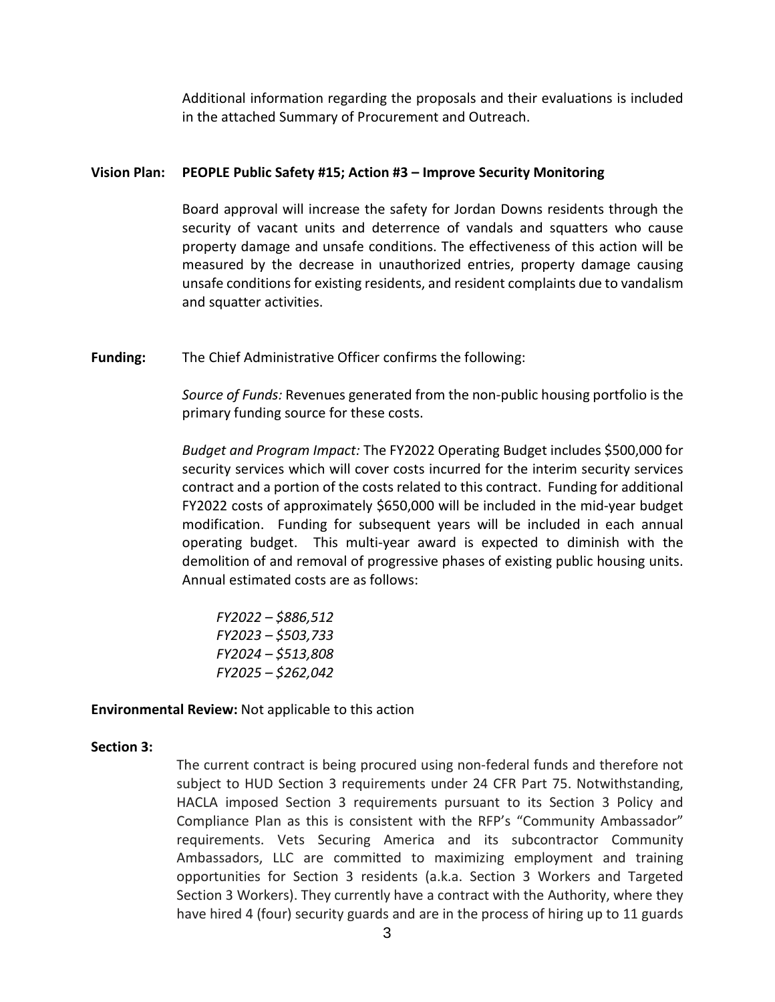Additional information regarding the proposals and their evaluations is included in the attached Summary of Procurement and Outreach.

#### **Vision Plan: PEOPLE Public Safety #15; Action #3 – Improve Security Monitoring**

Board approval will increase the safety for Jordan Downs residents through the security of vacant units and deterrence of vandals and squatters who cause property damage and unsafe conditions. The effectiveness of this action will be measured by the decrease in unauthorized entries, property damage causing unsafe conditions for existing residents, and resident complaints due to vandalism and squatter activities.

**Funding:** The Chief Administrative Officer confirms the following:

*Source of Funds:* Revenues generated from the non-public housing portfolio is the primary funding source for these costs.

*Budget and Program Impact:* The FY2022 Operating Budget includes \$500,000 for security services which will cover costs incurred for the interim security services contract and a portion of the costs related to this contract. Funding for additional FY2022 costs of approximately \$650,000 will be included in the mid-year budget modification. Funding for subsequent years will be included in each annual operating budget. This multi-year award is expected to diminish with the demolition of and removal of progressive phases of existing public housing units. Annual estimated costs are as follows:

*FY2022 – \$886,512 FY2023 – \$503,733 FY2024 – \$513,808 FY2025 – \$262,042*

**Environmental Review:** Not applicable to this action

#### **Section 3:**

The current contract is being procured using non-federal funds and therefore not subject to HUD Section 3 requirements under 24 CFR Part 75. Notwithstanding, HACLA imposed Section 3 requirements pursuant to its Section 3 Policy and Compliance Plan as this is consistent with the RFP's "Community Ambassador" requirements. Vets Securing America and its subcontractor Community Ambassadors, LLC are committed to maximizing employment and training opportunities for Section 3 residents (a.k.a. Section 3 Workers and Targeted Section 3 Workers). They currently have a contract with the Authority, where they have hired 4 (four) security guards and are in the process of hiring up to 11 guards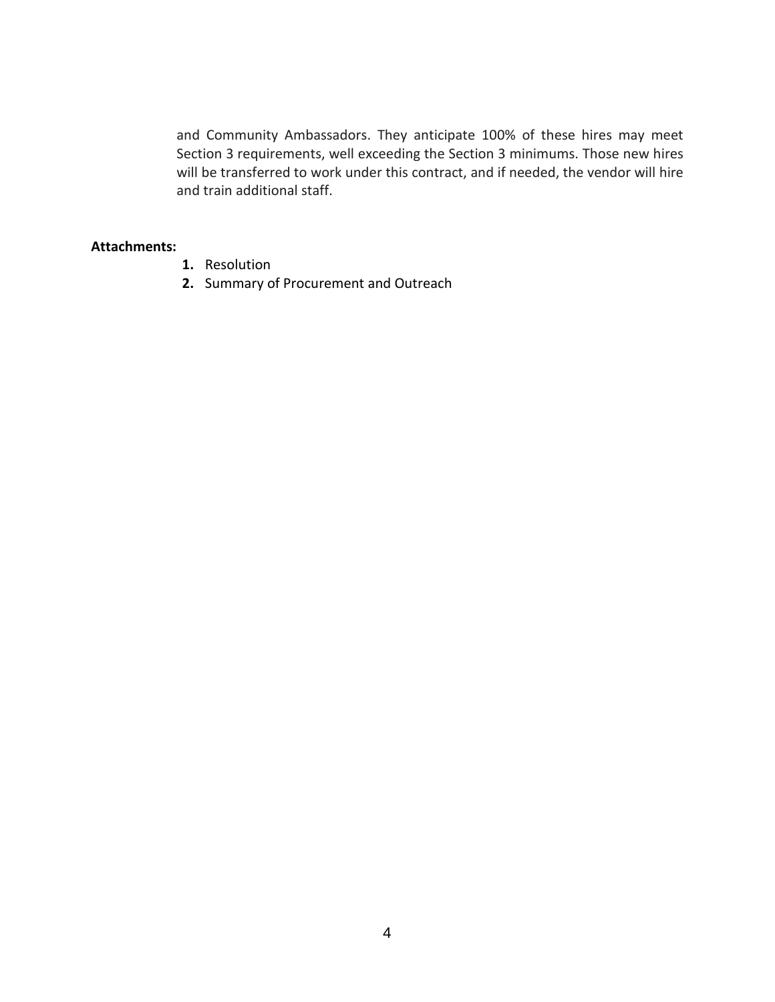and Community Ambassadors. They anticipate 100% of these hires may meet Section 3 requirements, well exceeding the Section 3 minimums. Those new hires will be transferred to work under this contract, and if needed, the vendor will hire and train additional staff.

#### **Attachments:**

- **1.** Resolution
- **2.** Summary of Procurement and Outreach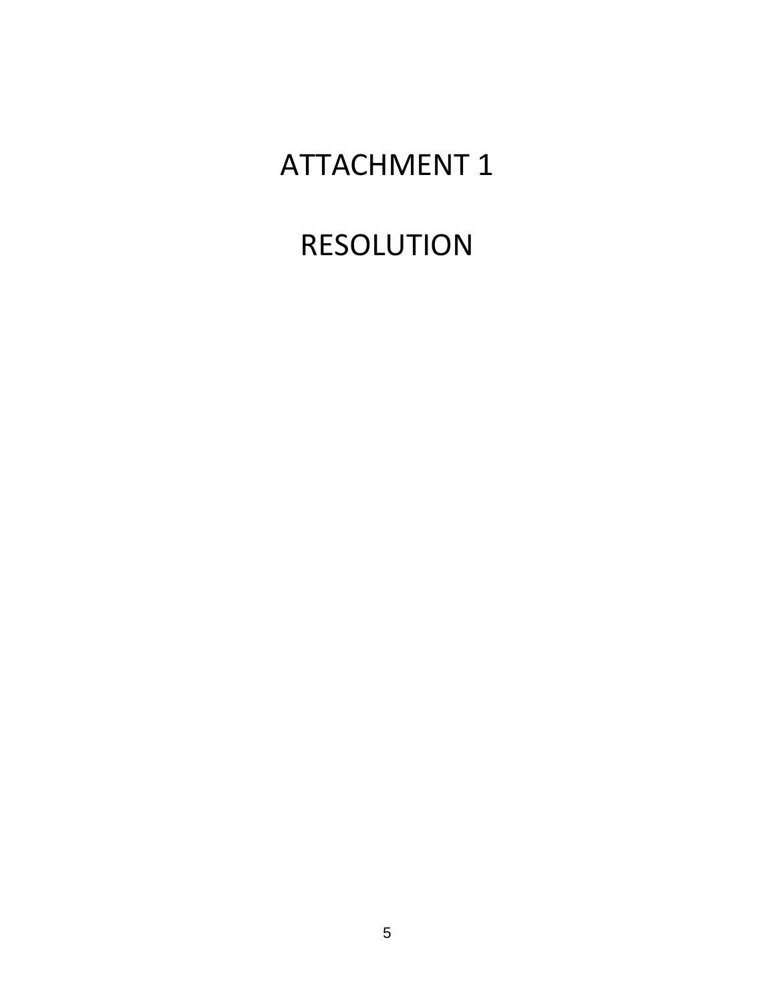## ATTACHMENT 1

# RESOLUTION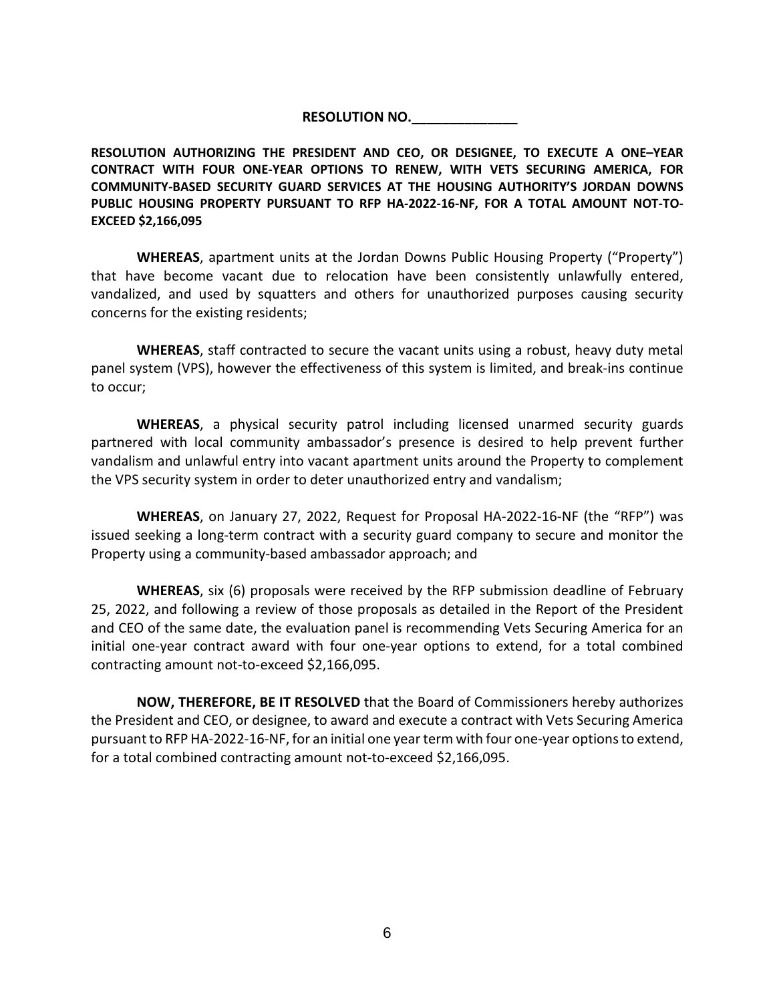#### **RESOLUTION NO.\_\_\_\_\_\_\_\_\_\_\_\_\_\_**

**RESOLUTION AUTHORIZING THE PRESIDENT AND CEO, OR DESIGNEE, TO EXECUTE A ONE–YEAR CONTRACT WITH FOUR ONE-YEAR OPTIONS TO RENEW, WITH VETS SECURING AMERICA, FOR COMMUNITY-BASED SECURITY GUARD SERVICES AT THE HOUSING AUTHORITY'S JORDAN DOWNS PUBLIC HOUSING PROPERTY PURSUANT TO RFP HA-2022-16-NF, FOR A TOTAL AMOUNT NOT-TO-EXCEED \$2,166,095**

**WHEREAS**, apartment units at the Jordan Downs Public Housing Property ("Property") that have become vacant due to relocation have been consistently unlawfully entered, vandalized, and used by squatters and others for unauthorized purposes causing security concerns for the existing residents;

**WHEREAS**, staff contracted to secure the vacant units using a robust, heavy duty metal panel system (VPS), however the effectiveness of this system is limited, and break-ins continue to occur;

**WHEREAS**, a physical security patrol including licensed unarmed security guards partnered with local community ambassador's presence is desired to help prevent further vandalism and unlawful entry into vacant apartment units around the Property to complement the VPS security system in order to deter unauthorized entry and vandalism;

**WHEREAS**, on January 27, 2022, Request for Proposal HA-2022-16-NF (the "RFP") was issued seeking a long-term contract with a security guard company to secure and monitor the Property using a community-based ambassador approach; and

**WHEREAS**, six (6) proposals were received by the RFP submission deadline of February 25, 2022, and following a review of those proposals as detailed in the Report of the President and CEO of the same date, the evaluation panel is recommending Vets Securing America for an initial one-year contract award with four one-year options to extend, for a total combined contracting amount not-to-exceed \$2,166,095.

**NOW, THEREFORE, BE IT RESOLVED** that the Board of Commissioners hereby authorizes the President and CEO, or designee, to award and execute a contract with Vets Securing America pursuant to RFP HA-2022-16-NF, for an initial one year term with four one-year options to extend, for a total combined contracting amount not-to-exceed \$2,166,095.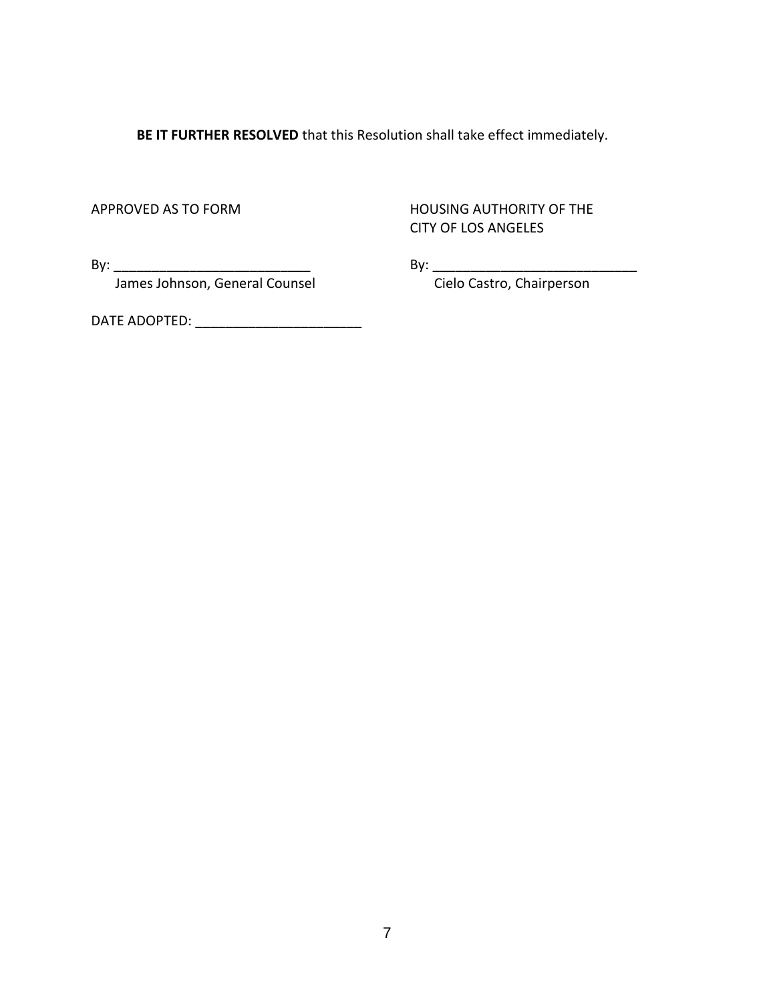**BE IT FURTHER RESOLVED** that this Resolution shall take effect immediately.

APPROVED AS TO FORM HOUSING AUTHORITY OF THE CITY OF LOS ANGELES

By: \_\_\_\_\_\_\_\_\_\_\_\_\_\_\_\_\_\_\_\_\_\_\_\_\_\_ By: \_\_\_\_\_\_\_\_\_\_\_\_\_\_\_\_\_\_\_\_\_\_\_\_\_\_\_ James Johnson, General Counsel

DATE ADOPTED: \_\_\_\_\_\_\_\_\_\_\_\_\_\_\_\_\_\_\_\_\_\_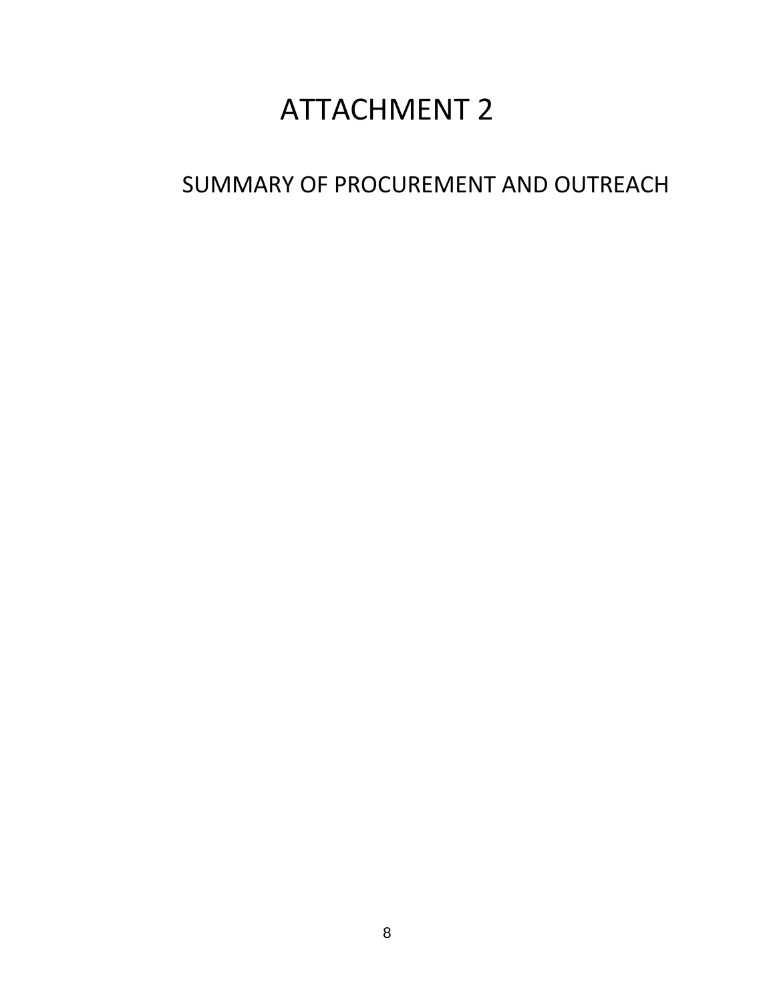## ATTACHMENT 2

### SUMMARY OF PROCUREMENT AND OUTREACH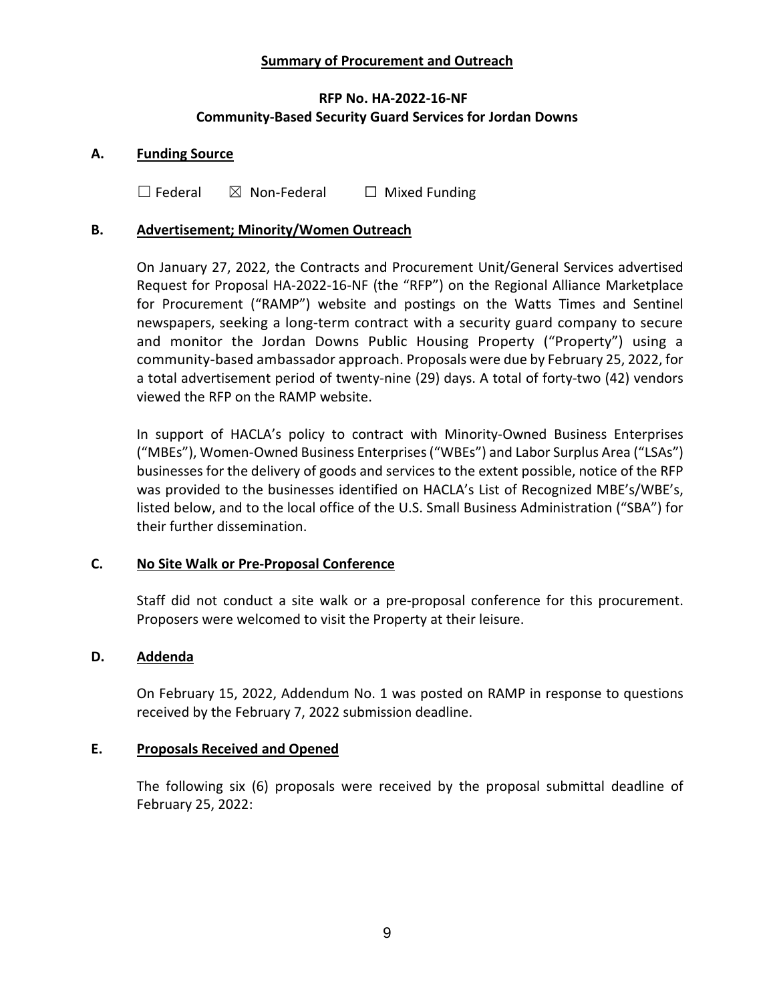#### **Summary of Procurement and Outreach**

#### **RFP No. HA-2022-16-NF Community-Based Security Guard Services for Jordan Downs**

#### **A. Funding Source**

 $\Box$  Federal  $\boxtimes$  Non-Federal  $\Box$  Mixed Funding

#### **B. Advertisement; Minority/Women Outreach**

On January 27, 2022, the Contracts and Procurement Unit/General Services advertised Request for Proposal HA-2022-16-NF (the "RFP") on the Regional Alliance Marketplace for Procurement ("RAMP") website and postings on the Watts Times and Sentinel newspapers, seeking a long-term contract with a security guard company to secure and monitor the Jordan Downs Public Housing Property ("Property") using a community-based ambassador approach. Proposals were due by February 25, 2022, for a total advertisement period of twenty-nine (29) days. A total of forty-two (42) vendors viewed the RFP on the RAMP website.

In support of HACLA's policy to contract with Minority-Owned Business Enterprises ("MBEs"), Women-Owned Business Enterprises ("WBEs") and Labor Surplus Area ("LSAs") businesses for the delivery of goods and services to the extent possible, notice of the RFP was provided to the businesses identified on HACLA's List of Recognized MBE's/WBE's, listed below, and to the local office of the U.S. Small Business Administration ("SBA") for their further dissemination.

#### **C. No Site Walk or Pre-Proposal Conference**

Staff did not conduct a site walk or a pre-proposal conference for this procurement. Proposers were welcomed to visit the Property at their leisure.

#### **D. Addenda**

On February 15, 2022, Addendum No. 1 was posted on RAMP in response to questions received by the February 7, 2022 submission deadline.

#### **E. Proposals Received and Opened**

The following six (6) proposals were received by the proposal submittal deadline of February 25, 2022: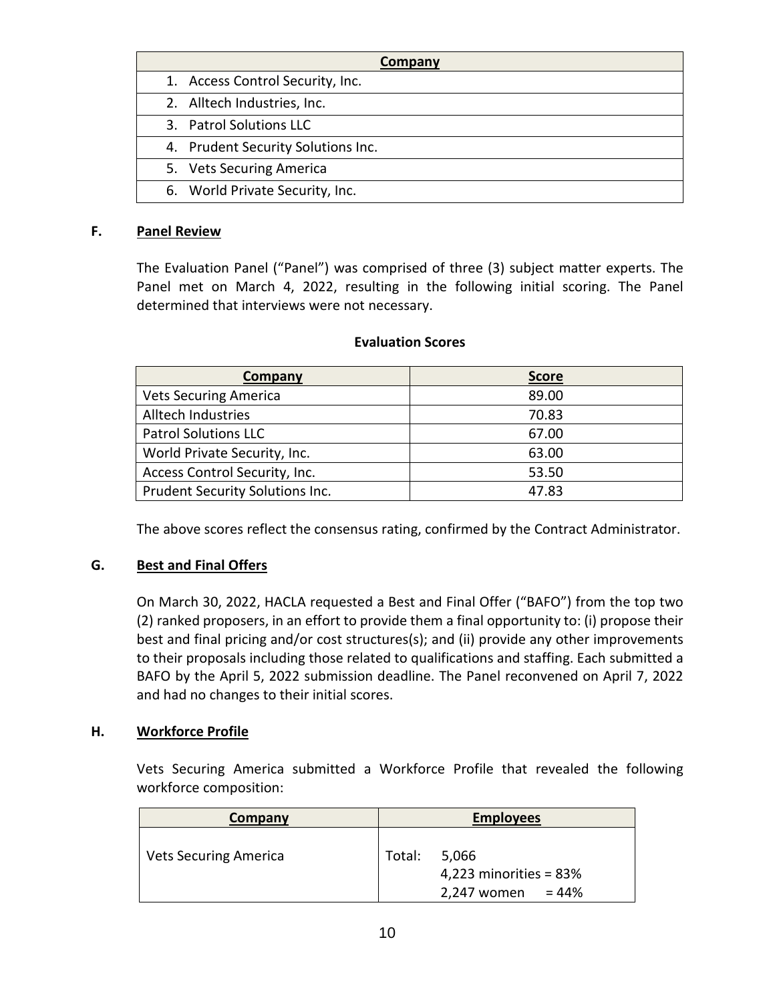| Company |                                    |  |
|---------|------------------------------------|--|
|         | 1. Access Control Security, Inc.   |  |
|         | 2. Alltech Industries, Inc.        |  |
|         | 3. Patrol Solutions LLC            |  |
|         | 4. Prudent Security Solutions Inc. |  |
|         | 5. Vets Securing America           |  |
|         | 6. World Private Security, Inc.    |  |

#### **F. Panel Review**

The Evaluation Panel ("Panel") was comprised of three (3) subject matter experts. The Panel met on March 4, 2022, resulting in the following initial scoring. The Panel determined that interviews were not necessary.

### **Company Score** Vets Securing America **89.00** Alltech Industries **1988** and 1991 and 1992 and 1993 and 1993 and 1993 and 1993 and 1993 and 1993 and 1993 and 19 Patrol Solutions LLC 67.00

World Private Security, Inc. **Example 24** 63.00 Access Control Security, Inc. 53.50 Prudent Security Solutions Inc. 1997 12:00 12:00 12:00 12:00 12:00 12:00 12:00 12:00 12:00 12:00 12:00 12:00 1

#### **Evaluation Scores**

The above scores reflect the consensus rating, confirmed by the Contract Administrator.

#### **G. Best and Final Offers**

On March 30, 2022, HACLA requested a Best and Final Offer ("BAFO") from the top two (2) ranked proposers, in an effort to provide them a final opportunity to: (i) propose their best and final pricing and/or cost structures(s); and (ii) provide any other improvements to their proposals including those related to qualifications and staffing. Each submitted a BAFO by the April 5, 2022 submission deadline. The Panel reconvened on April 7, 2022 and had no changes to their initial scores.

#### **H. Workforce Profile**

Vets Securing America submitted a Workforce Profile that revealed the following workforce composition:

| Company                      |        | <b>Employees</b>                                           |
|------------------------------|--------|------------------------------------------------------------|
| <b>Vets Securing America</b> | Total: | 5,066<br>4,223 minorities = $83\%$<br>2,247 women = $44\%$ |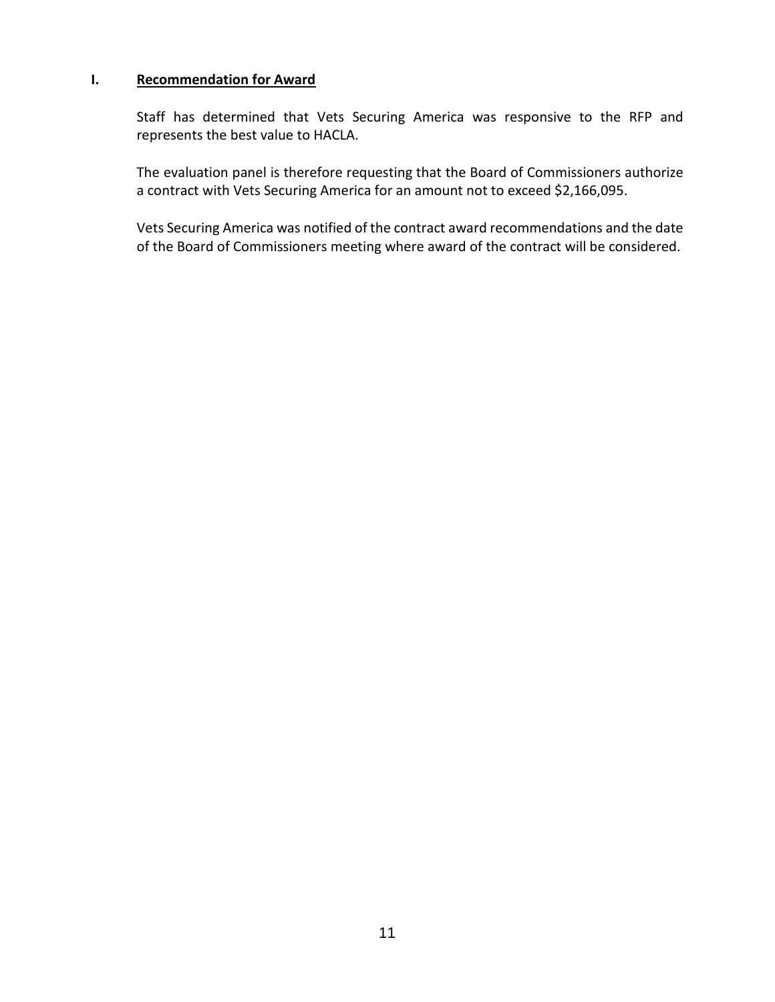#### **I. Recommendation for Award**

Staff has determined that Vets Securing America was responsive to the RFP and represents the best value to HACLA.

The evaluation panel is therefore requesting that the Board of Commissioners authorize a contract with Vets Securing America for an amount not to exceed \$2,166,095.

Vets Securing America was notified of the contract award recommendations and the date of the Board of Commissioners meeting where award of the contract will be considered.